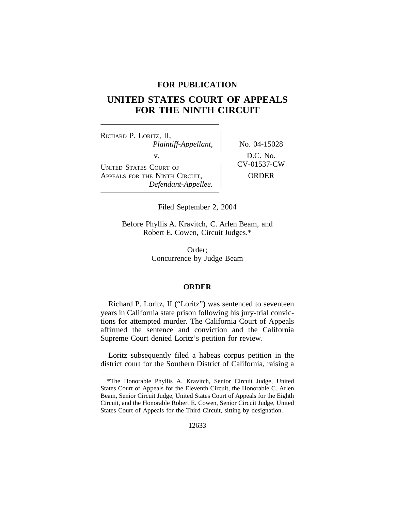## **FOR PUBLICATION**

## **UNITED STATES COURT OF APPEALS FOR THE NINTH CIRCUIT**

<sup>R</sup>ICHARD P. LORITZ, II, *Plaintiff-Appellant,* No. 04-15028 v.  $D.C. No.$ <br>November 201537-CW UNITED STATES COURT OF APPEALS FOR THE NINTH CIRCUIT, NORDER *Defendant-Appellee.*

Filed September 2, 2004

Before Phyllis A. Kravitch, C. Arlen Beam, and Robert E. Cowen, Circuit Judges.\*

> Order; Concurrence by Judge Beam

## **ORDER**

Richard P. Loritz, II ("Loritz") was sentenced to seventeen years in California state prison following his jury-trial convictions for attempted murder. The California Court of Appeals affirmed the sentence and conviction and the California Supreme Court denied Loritz's petition for review.

Loritz subsequently filed a habeas corpus petition in the district court for the Southern District of California, raising a

<sup>\*</sup>The Honorable Phyllis A. Kravitch, Senior Circuit Judge, United States Court of Appeals for the Eleventh Circuit, the Honorable C. Arlen Beam, Senior Circuit Judge, United States Court of Appeals for the Eighth Circuit, and the Honorable Robert E. Cowen, Senior Circuit Judge, United States Court of Appeals for the Third Circuit, sitting by designation.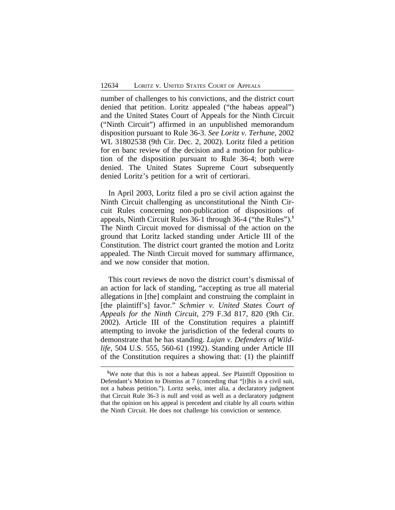number of challenges to his convictions, and the district court denied that petition. Loritz appealed ("the habeas appeal") and the United States Court of Appeals for the Ninth Circuit ("Ninth Circuit") affirmed in an unpublished memorandum disposition pursuant to Rule 36-3. *See Loritz v. Terhune*, 2002 WL 31802538 (9th Cir. Dec. 2, 2002). Loritz filed a petition for en banc review of the decision and a motion for publication of the disposition pursuant to Rule 36-4; both were denied. The United States Supreme Court subsequently denied Loritz's petition for a writ of certiorari.

In April 2003, Loritz filed a pro se civil action against the Ninth Circuit challenging as unconstitutional the Ninth Circuit Rules concerning non-publication of dispositions of appeals, Ninth Circuit Rules 36-1 through 36-4 ("the Rules").**<sup>1</sup>** The Ninth Circuit moved for dismissal of the action on the ground that Loritz lacked standing under Article III of the Constitution. The district court granted the motion and Loritz appealed. The Ninth Circuit moved for summary affirmance, and we now consider that motion.

This court reviews de novo the district court's dismissal of an action for lack of standing, "accepting as true all material allegations in [the] complaint and construing the complaint in [the plaintiff's] favor." *Schmier v. United States Court of Appeals for the Ninth Circuit*, 279 F.3d 817, 820 (9th Cir. 2002). Article III of the Constitution requires a plaintiff attempting to invoke the jurisdiction of the federal courts to demonstrate that he has standing. *Lujan v. Defenders of Wildlife*, 504 U.S. 555, 560-61 (1992). Standing under Article III of the Constitution requires a showing that: (1) the plaintiff

**<sup>1</sup>**We note that this is not a habeas appeal. *See* Plaintiff Opposition to Defendant's Motion to Dismiss at 7 (conceding that "[t]his is a civil suit, not a habeas petition."). Loritz seeks, inter alia, a declaratory judgment that Circuit Rule 36-3 is null and void as well as a declaratory judgment that the opinion on his appeal is precedent and citable by all courts within the Ninth Circuit. He does not challenge his conviction or sentence.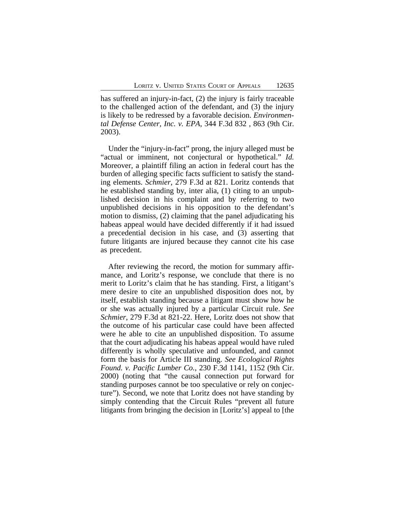has suffered an injury-in-fact, (2) the injury is fairly traceable to the challenged action of the defendant, and (3) the injury is likely to be redressed by a favorable decision. *Environmental Defense Center, Inc. v. EPA*, 344 F.3d 832 , 863 (9th Cir. 2003).

Under the "injury-in-fact" prong, the injury alleged must be "actual or imminent, not conjectural or hypothetical." *Id.* Moreover, a plaintiff filing an action in federal court has the burden of alleging specific facts sufficient to satisfy the standing elements. *Schmier*, 279 F.3d at 821. Loritz contends that he established standing by, inter alia, (1) citing to an unpublished decision in his complaint and by referring to two unpublished decisions in his opposition to the defendant's motion to dismiss, (2) claiming that the panel adjudicating his habeas appeal would have decided differently if it had issued a precedential decision in his case, and (3) asserting that future litigants are injured because they cannot cite his case as precedent.

After reviewing the record, the motion for summary affirmance, and Loritz's response, we conclude that there is no merit to Loritz's claim that he has standing. First, a litigant's mere desire to cite an unpublished disposition does not, by itself, establish standing because a litigant must show how he or she was actually injured by a particular Circuit rule. *See Schmier*, 279 F.3d at 821-22. Here, Loritz does not show that the outcome of his particular case could have been affected were he able to cite an unpublished disposition. To assume that the court adjudicating his habeas appeal would have ruled differently is wholly speculative and unfounded, and cannot form the basis for Article III standing. *See Ecological Rights Found. v. Pacific Lumber Co.*, 230 F.3d 1141, 1152 (9th Cir. 2000) (noting that "the causal connection put forward for standing purposes cannot be too speculative or rely on conjecture"). Second, we note that Loritz does not have standing by simply contending that the Circuit Rules "prevent all future litigants from bringing the decision in [Loritz's] appeal to [the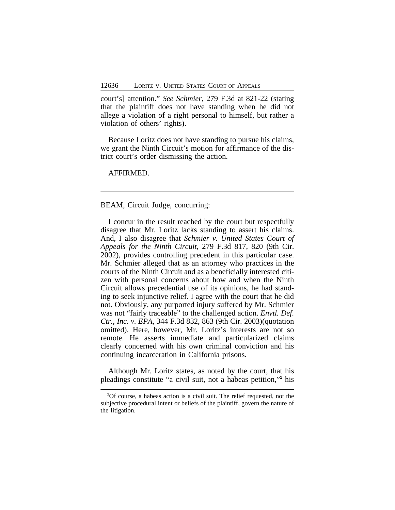court's] attention." *See Schmier*, 279 F.3d at 821-22 (stating that the plaintiff does not have standing when he did not allege a violation of a right personal to himself, but rather a violation of others' rights).

Because Loritz does not have standing to pursue his claims, we grant the Ninth Circuit's motion for affirmance of the district court's order dismissing the action.

AFFIRMED.

## BEAM, Circuit Judge, concurring:

I concur in the result reached by the court but respectfully disagree that Mr. Loritz lacks standing to assert his claims. And, I also disagree that *Schmier v. United States Court of Appeals for the Ninth Circuit*, 279 F.3d 817, 820 (9th Cir. 2002), provides controlling precedent in this particular case. Mr. Schmier alleged that as an attorney who practices in the courts of the Ninth Circuit and as a beneficially interested citizen with personal concerns about how and when the Ninth Circuit allows precedential use of its opinions, he had standing to seek injunctive relief. I agree with the court that he did not. Obviously, any purported injury suffered by Mr. Schmier was not "fairly traceable" to the challenged action. *Envtl. Def. Ctr., Inc. v. EPA*, 344 F.3d 832, 863 (9th Cir. 2003)(quotation omitted). Here, however, Mr. Loritz's interests are not so remote. He asserts immediate and particularized claims clearly concerned with his own criminal conviction and his continuing incarceration in California prisons.

Although Mr. Loritz states, as noted by the court, that his pleadings constitute "a civil suit, not a habeas petition," **1** his

**<sup>1</sup>**Of course, a habeas action is a civil suit. The relief requested, not the subjective procedural intent or beliefs of the plaintiff, govern the nature of the litigation.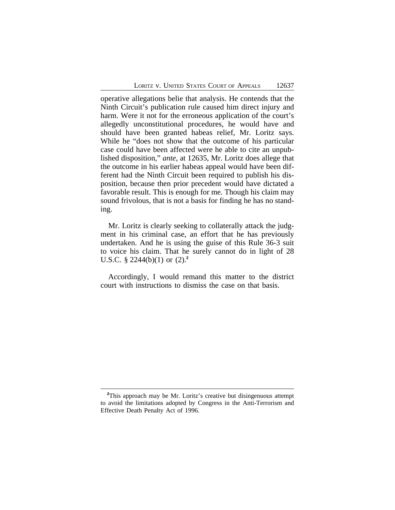operative allegations belie that analysis. He contends that the Ninth Circuit's publication rule caused him direct injury and harm. Were it not for the erroneous application of the court's allegedly unconstitutional procedures, he would have and should have been granted habeas relief, Mr. Loritz says. While he "does not show that the outcome of his particular case could have been affected were he able to cite an unpublished disposition," *ante*, at 12635, Mr. Loritz does allege that the outcome in his earlier habeas appeal would have been different had the Ninth Circuit been required to publish his disposition, because then prior precedent would have dictated a favorable result. This is enough for me. Though his claim may sound frivolous, that is not a basis for finding he has no standing.

Mr. Loritz is clearly seeking to collaterally attack the judgment in his criminal case, an effort that he has previously undertaken. And he is using the guise of this Rule 36-3 suit to voice his claim. That he surely cannot do in light of 28 U.S.C. § 2244(b)(1) or (2).**<sup>2</sup>**

Accordingly, I would remand this matter to the district court with instructions to dismiss the case on that basis.

**<sup>2</sup>**This approach may be Mr. Loritz's creative but disingenuous attempt to avoid the limitations adopted by Congress in the Anti-Terrorism and Effective Death Penalty Act of 1996.